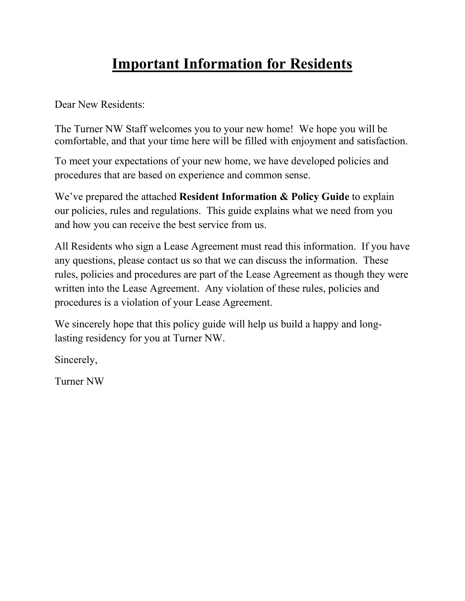# **Important Information for Residents**

Dear New Residents:

The Turner NW Staff welcomes you to your new home! We hope you will be comfortable, and that your time here will be filled with enjoyment and satisfaction.

To meet your expectations of your new home, we have developed policies and procedures that are based on experience and common sense.

We've prepared the attached **Resident Information & Policy Guide** to explain our policies, rules and regulations. This guide explains what we need from you and how you can receive the best service from us.

All Residents who sign a Lease Agreement must read this information. If you have any questions, please contact us so that we can discuss the information. These rules, policies and procedures are part of the Lease Agreement as though they were written into the Lease Agreement. Any violation of these rules, policies and procedures is a violation of your Lease Agreement.

We sincerely hope that this policy guide will help us build a happy and longlasting residency for you at Turner NW.

Sincerely,

Turner NW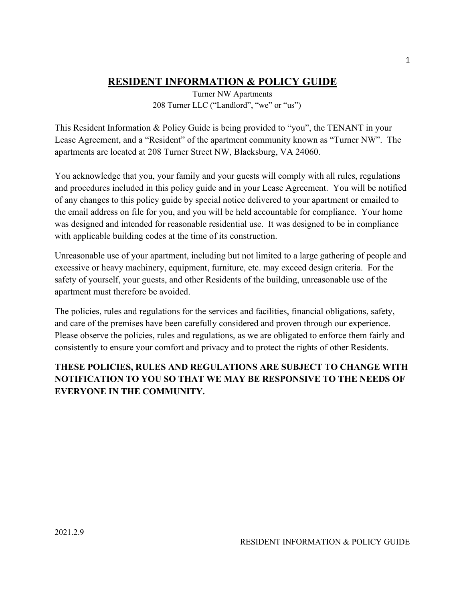# **RESIDENT INFORMATION & POLICY GUIDE**

 Turner NW Apartments 208 Turner LLC ("Landlord", "we" or "us")

This Resident Information & Policy Guide is being provided to "you", the TENANT in your Lease Agreement, and a "Resident" of the apartment community known as "Turner NW". The apartments are located at 208 Turner Street NW, Blacksburg, VA 24060.

You acknowledge that you, your family and your guests will comply with all rules, regulations and procedures included in this policy guide and in your Lease Agreement. You will be notified of any changes to this policy guide by special notice delivered to your apartment or emailed to the email address on file for you, and you will be held accountable for compliance. Your home was designed and intended for reasonable residential use. It was designed to be in compliance with applicable building codes at the time of its construction.

Unreasonable use of your apartment, including but not limited to a large gathering of people and excessive or heavy machinery, equipment, furniture, etc. may exceed design criteria. For the safety of yourself, your guests, and other Residents of the building, unreasonable use of the apartment must therefore be avoided.

The policies, rules and regulations for the services and facilities, financial obligations, safety, and care of the premises have been carefully considered and proven through our experience. Please observe the policies, rules and regulations, as we are obligated to enforce them fairly and consistently to ensure your comfort and privacy and to protect the rights of other Residents.

## **THESE POLICIES, RULES AND REGULATIONS ARE SUBJECT TO CHANGE WITH NOTIFICATION TO YOU SO THAT WE MAY BE RESPONSIVE TO THE NEEDS OF EVERYONE IN THE COMMUNITY.**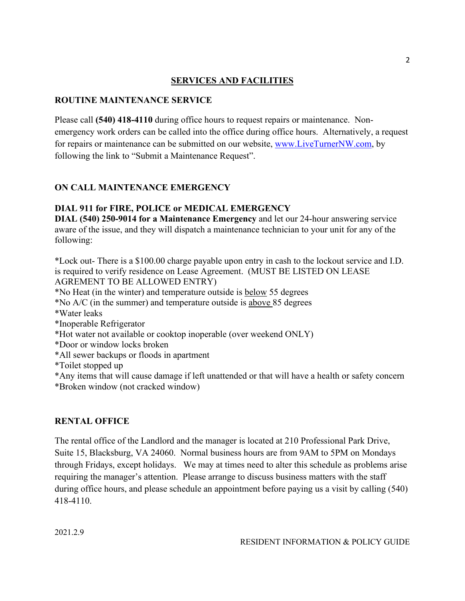#### **SERVICES AND FACILITIES**

#### **ROUTINE MAINTENANCE SERVICE**

Please call **(540) 418-4110** during office hours to request repairs or maintenance. Nonemergency work orders can be called into the office during office hours. Alternatively, a request for repairs or maintenance can be submitted on our website, www.LiveTurnerNW.com, by following the link to "Submit a Maintenance Request".

#### **ON CALL MAINTENANCE EMERGENCY**

#### **DIAL 911 for FIRE, POLICE or MEDICAL EMERGENCY**

**DIAL (540) 250-9014 for a Maintenance Emergency** and let our 24-hour answering service aware of the issue, and they will dispatch a maintenance technician to your unit for any of the following:

\*Lock out- There is a \$100.00 charge payable upon entry in cash to the lockout service and I.D. is required to verify residence on Lease Agreement. (MUST BE LISTED ON LEASE AGREMENT TO BE ALLOWED ENTRY)

\*No Heat (in the winter) and temperature outside is below 55 degrees

\*No A/C (in the summer) and temperature outside is above 85 degrees

\*Water leaks

\*Inoperable Refrigerator

\*Hot water not available or cooktop inoperable (over weekend ONLY)

\*Door or window locks broken

\*All sewer backups or floods in apartment

\*Toilet stopped up

\*Any items that will cause damage if left unattended or that will have a health or safety concern \*Broken window (not cracked window)

#### **RENTAL OFFICE**

The rental office of the Landlord and the manager is located at 210 Professional Park Drive, Suite 15, Blacksburg, VA 24060. Normal business hours are from 9AM to 5PM on Mondays through Fridays, except holidays. We may at times need to alter this schedule as problems arise requiring the manager's attention. Please arrange to discuss business matters with the staff during office hours, and please schedule an appointment before paying us a visit by calling (540) 418-4110.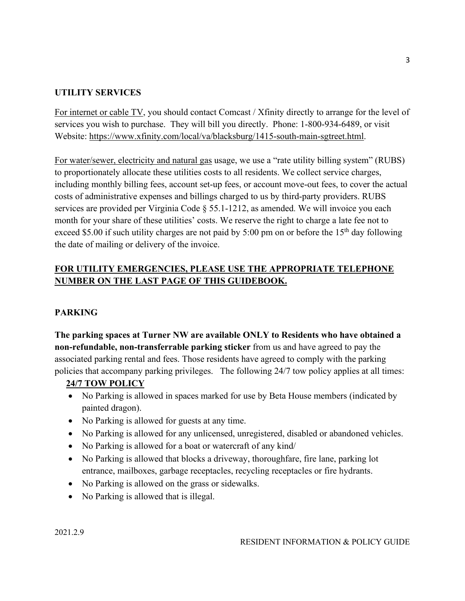#### **UTILITY SERVICES**

For internet or cable TV, you should contact Comcast / Xfinity directly to arrange for the level of services you wish to purchase. They will bill you directly. Phone: 1-800-934-6489, or visit Website: https://www.xfinity.com/local/va/blacksburg/1415-south-main-sgtreet.html.

For water/sewer, electricity and natural gas usage, we use a "rate utility billing system" (RUBS) to proportionately allocate these utilities costs to all residents. We collect service charges, including monthly billing fees, account set-up fees, or account move-out fees, to cover the actual costs of administrative expenses and billings charged to us by third-party providers. RUBS services are provided per Virginia Code § 55.1-1212, as amended. We will invoice you each month for your share of these utilities' costs. We reserve the right to charge a late fee not to exceed \$5.00 if such utility charges are not paid by 5:00 pm on or before the 15<sup>th</sup> day following the date of mailing or delivery of the invoice.

## **FOR UTILITY EMERGENCIES, PLEASE USE THE APPROPRIATE TELEPHONE NUMBER ON THE LAST PAGE OF THIS GUIDEBOOK.**

#### **PARKING**

**The parking spaces at Turner NW are available ONLY to Residents who have obtained a non-refundable, non-transferrable parking sticker** from us and have agreed to pay the associated parking rental and fees. Those residents have agreed to comply with the parking policies that accompany parking privileges. The following 24/7 tow policy applies at all times:

#### **24/7 TOW POLICY**

- No Parking is allowed in spaces marked for use by Beta House members (indicated by painted dragon).
- No Parking is allowed for guests at any time.
- No Parking is allowed for any unlicensed, unregistered, disabled or abandoned vehicles.
- No Parking is allowed for a boat or watercraft of any kind/
- No Parking is allowed that blocks a driveway, thoroughfare, fire lane, parking lot entrance, mailboxes, garbage receptacles, recycling receptacles or fire hydrants.
- No Parking is allowed on the grass or sidewalks.
- No Parking is allowed that is illegal.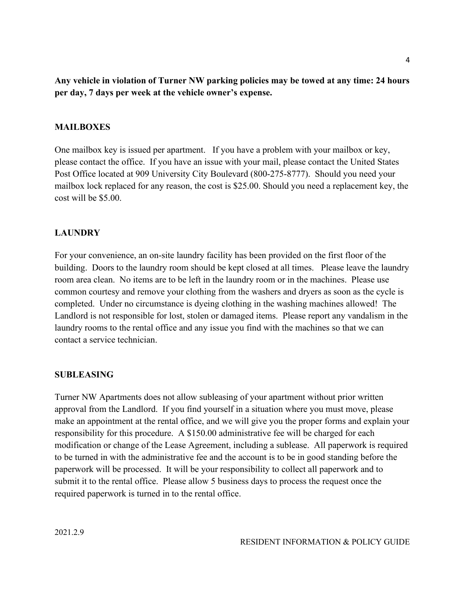**Any vehicle in violation of Turner NW parking policies may be towed at any time: 24 hours per day, 7 days per week at the vehicle owner's expense.**

#### **MAILBOXES**

One mailbox key is issued per apartment. If you have a problem with your mailbox or key, please contact the office. If you have an issue with your mail, please contact the United States Post Office located at 909 University City Boulevard (800-275-8777). Should you need your mailbox lock replaced for any reason, the cost is \$25.00. Should you need a replacement key, the cost will be \$5.00.

#### **LAUNDRY**

For your convenience, an on-site laundry facility has been provided on the first floor of the building. Doors to the laundry room should be kept closed at all times. Please leave the laundry room area clean. No items are to be left in the laundry room or in the machines. Please use common courtesy and remove your clothing from the washers and dryers as soon as the cycle is completed. Under no circumstance is dyeing clothing in the washing machines allowed! The Landlord is not responsible for lost, stolen or damaged items. Please report any vandalism in the laundry rooms to the rental office and any issue you find with the machines so that we can contact a service technician.

#### **SUBLEASING**

Turner NW Apartments does not allow subleasing of your apartment without prior written approval from the Landlord. If you find yourself in a situation where you must move, please make an appointment at the rental office, and we will give you the proper forms and explain your responsibility for this procedure. A \$150.00 administrative fee will be charged for each modification or change of the Lease Agreement, including a sublease. All paperwork is required to be turned in with the administrative fee and the account is to be in good standing before the paperwork will be processed. It will be your responsibility to collect all paperwork and to submit it to the rental office. Please allow 5 business days to process the request once the required paperwork is turned in to the rental office.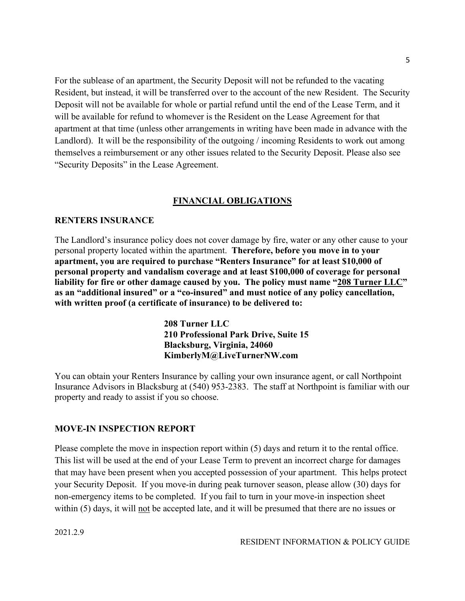For the sublease of an apartment, the Security Deposit will not be refunded to the vacating Resident, but instead, it will be transferred over to the account of the new Resident. The Security Deposit will not be available for whole or partial refund until the end of the Lease Term, and it will be available for refund to whomever is the Resident on the Lease Agreement for that apartment at that time (unless other arrangements in writing have been made in advance with the Landlord). It will be the responsibility of the outgoing / incoming Residents to work out among themselves a reimbursement or any other issues related to the Security Deposit. Please also see "Security Deposits" in the Lease Agreement.

#### **FINANCIAL OBLIGATIONS**

#### **RENTERS INSURANCE**

The Landlord's insurance policy does not cover damage by fire, water or any other cause to your personal property located within the apartment. **Therefore, before you move in to your apartment, you are required to purchase "Renters Insurance" for at least \$10,000 of personal property and vandalism coverage and at least \$100,000 of coverage for personal liability for fire or other damage caused by you. The policy must name "208 Turner LLC" as an "additional insured" or a "co-insured" and must notice of any policy cancellation, with written proof (a certificate of insurance) to be delivered to:**

> **208 Turner LLC 210 Professional Park Drive, Suite 15 Blacksburg, Virginia, 24060 KimberlyM@LiveTurnerNW.com**

You can obtain your Renters Insurance by calling your own insurance agent, or call Northpoint Insurance Advisors in Blacksburg at (540) 953-2383. The staff at Northpoint is familiar with our property and ready to assist if you so choose.

#### **MOVE-IN INSPECTION REPORT**

Please complete the move in inspection report within (5) days and return it to the rental office. This list will be used at the end of your Lease Term to prevent an incorrect charge for damages that may have been present when you accepted possession of your apartment. This helps protect your Security Deposit. If you move-in during peak turnover season, please allow (30) days for non-emergency items to be completed. If you fail to turn in your move-in inspection sheet within (5) days, it will not be accepted late, and it will be presumed that there are no issues or

2021.2.9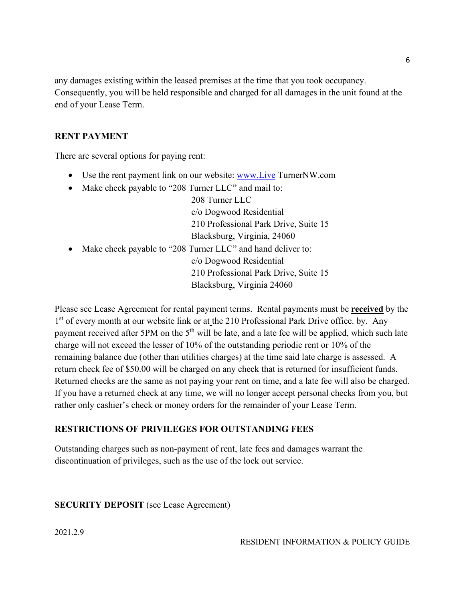any damages existing within the leased premises at the time that you took occupancy. Consequently, you will be held responsible and charged for all damages in the unit found at the end of your Lease Term.

#### **RENT PAYMENT**

There are several options for paying rent:

- Use the rent payment link on our website: www.Live TurnerNW.com
- Make check payable to "208 Turner LLC" and mail to:

208 Turner LLC c/o Dogwood Residential 210 Professional Park Drive, Suite 15 Blacksburg, Virginia, 24060

• Make check payable to "208 Turner LLC" and hand deliver to: c/o Dogwood Residential 210 Professional Park Drive, Suite 15 Blacksburg, Virginia 24060

Please see Lease Agreement for rental payment terms. Rental payments must be **received** by the 1<sup>st</sup> of every month at our website link or at the 210 Professional Park Drive office. by. Any payment received after 5PM on the 5<sup>th</sup> will be late, and a late fee will be applied, which such late charge will not exceed the lesser of 10% of the outstanding periodic rent or 10% of the remaining balance due (other than utilities charges) at the time said late charge is assessed. A return check fee of \$50.00 will be charged on any check that is returned for insufficient funds. Returned checks are the same as not paying your rent on time, and a late fee will also be charged. If you have a returned check at any time, we will no longer accept personal checks from you, but rather only cashier's check or money orders for the remainder of your Lease Term.

#### **RESTRICTIONS OF PRIVILEGES FOR OUTSTANDING FEES**

Outstanding charges such as non-payment of rent, late fees and damages warrant the discontinuation of privileges, such as the use of the lock out service.

#### **SECURITY DEPOSIT** (see Lease Agreement)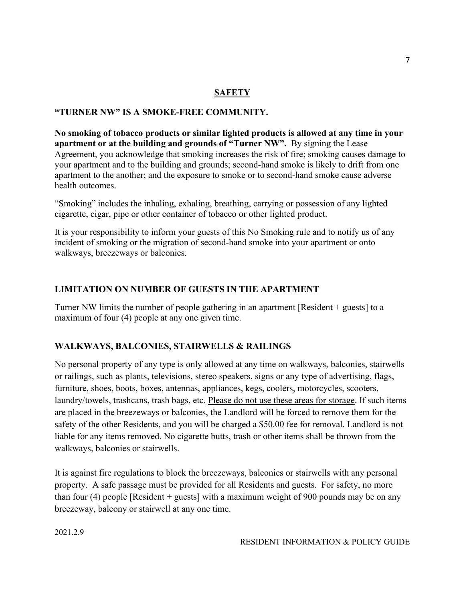#### **SAFETY**

#### **"TURNER NW" IS A SMOKE-FREE COMMUNITY.**

**No smoking of tobacco products or similar lighted products is allowed at any time in your apartment or at the building and grounds of "Turner NW".** By signing the Lease Agreement, you acknowledge that smoking increases the risk of fire; smoking causes damage to your apartment and to the building and grounds; second-hand smoke is likely to drift from one apartment to the another; and the exposure to smoke or to second-hand smoke cause adverse health outcomes.

"Smoking" includes the inhaling, exhaling, breathing, carrying or possession of any lighted cigarette, cigar, pipe or other container of tobacco or other lighted product.

It is your responsibility to inform your guests of this No Smoking rule and to notify us of any incident of smoking or the migration of second-hand smoke into your apartment or onto walkways, breezeways or balconies.

#### **LIMITATION ON NUMBER OF GUESTS IN THE APARTMENT**

Turner NW limits the number of people gathering in an apartment [Resident + guests] to a maximum of four (4) people at any one given time.

#### **WALKWAYS, BALCONIES, STAIRWELLS & RAILINGS**

No personal property of any type is only allowed at any time on walkways, balconies, stairwells or railings, such as plants, televisions, stereo speakers, signs or any type of advertising, flags, furniture, shoes, boots, boxes, antennas, appliances, kegs, coolers, motorcycles, scooters, laundry/towels, trashcans, trash bags, etc. Please do not use these areas for storage. If such items are placed in the breezeways or balconies, the Landlord will be forced to remove them for the safety of the other Residents, and you will be charged a \$50.00 fee for removal. Landlord is not liable for any items removed. No cigarette butts, trash or other items shall be thrown from the walkways, balconies or stairwells.

It is against fire regulations to block the breezeways, balconies or stairwells with any personal property. A safe passage must be provided for all Residents and guests. For safety, no more than four (4) people [Resident + guests] with a maximum weight of 900 pounds may be on any breezeway, balcony or stairwell at any one time.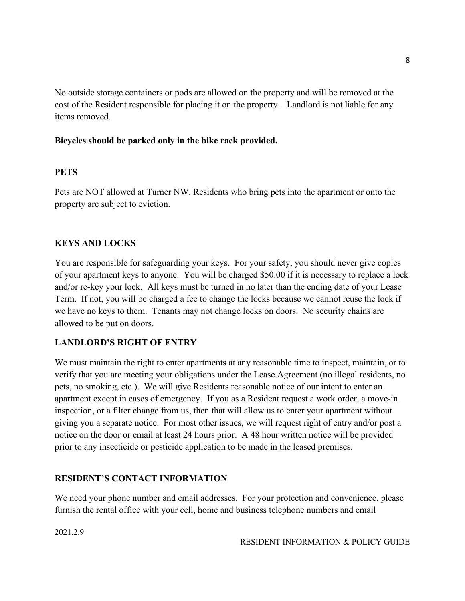No outside storage containers or pods are allowed on the property and will be removed at the cost of the Resident responsible for placing it on the property. Landlord is not liable for any items removed.

#### **Bicycles should be parked only in the bike rack provided.**

#### **PETS**

Pets are NOT allowed at Turner NW. Residents who bring pets into the apartment or onto the property are subject to eviction.

#### **KEYS AND LOCKS**

You are responsible for safeguarding your keys. For your safety, you should never give copies of your apartment keys to anyone. You will be charged \$50.00 if it is necessary to replace a lock and/or re-key your lock. All keys must be turned in no later than the ending date of your Lease Term. If not, you will be charged a fee to change the locks because we cannot reuse the lock if we have no keys to them. Tenants may not change locks on doors. No security chains are allowed to be put on doors.

#### **LANDLORD'S RIGHT OF ENTRY**

We must maintain the right to enter apartments at any reasonable time to inspect, maintain, or to verify that you are meeting your obligations under the Lease Agreement (no illegal residents, no pets, no smoking, etc.). We will give Residents reasonable notice of our intent to enter an apartment except in cases of emergency. If you as a Resident request a work order, a move-in inspection, or a filter change from us, then that will allow us to enter your apartment without giving you a separate notice. For most other issues, we will request right of entry and/or post a notice on the door or email at least 24 hours prior. A 48 hour written notice will be provided prior to any insecticide or pesticide application to be made in the leased premises.

#### **RESIDENT'S CONTACT INFORMATION**

We need your phone number and email addresses. For your protection and convenience, please furnish the rental office with your cell, home and business telephone numbers and email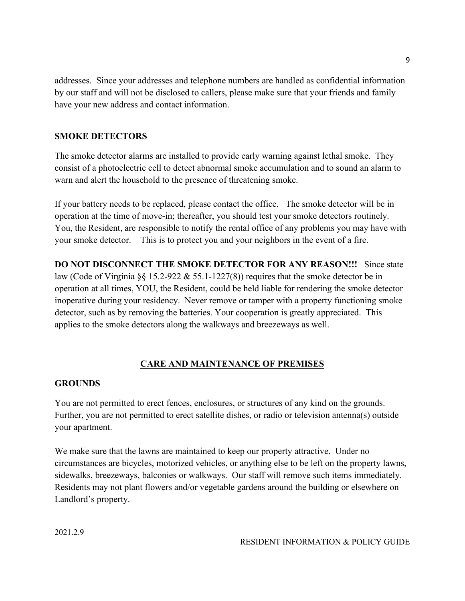addresses. Since your addresses and telephone numbers are handled as confidential information by our staff and will not be disclosed to callers, please make sure that your friends and family have your new address and contact information.

#### **SMOKE DETECTORS**

The smoke detector alarms are installed to provide early warning against lethal smoke. They consist of a photoelectric cell to detect abnormal smoke accumulation and to sound an alarm to warn and alert the household to the presence of threatening smoke.

If your battery needs to be replaced, please contact the office. The smoke detector will be in operation at the time of move-in; thereafter, you should test your smoke detectors routinely. You, the Resident, are responsible to notify the rental office of any problems you may have with your smoke detector. This is to protect you and your neighbors in the event of a fire.

**DO NOT DISCONNECT THE SMOKE DETECTOR FOR ANY REASON!!!** Since state law (Code of Virginia §§ 15.2-922 & 55.1-1227(8)) requires that the smoke detector be in operation at all times, YOU, the Resident, could be held liable for rendering the smoke detector inoperative during your residency. Never remove or tamper with a property functioning smoke detector, such as by removing the batteries. Your cooperation is greatly appreciated. This applies to the smoke detectors along the walkways and breezeways as well.

#### **CARE AND MAINTENANCE OF PREMISES**

#### **GROUNDS**

You are not permitted to erect fences, enclosures, or structures of any kind on the grounds. Further, you are not permitted to erect satellite dishes, or radio or television antenna(s) outside your apartment.

We make sure that the lawns are maintained to keep our property attractive. Under no circumstances are bicycles, motorized vehicles, or anything else to be left on the property lawns, sidewalks, breezeways, balconies or walkways. Our staff will remove such items immediately. Residents may not plant flowers and/or vegetable gardens around the building or elsewhere on Landlord's property.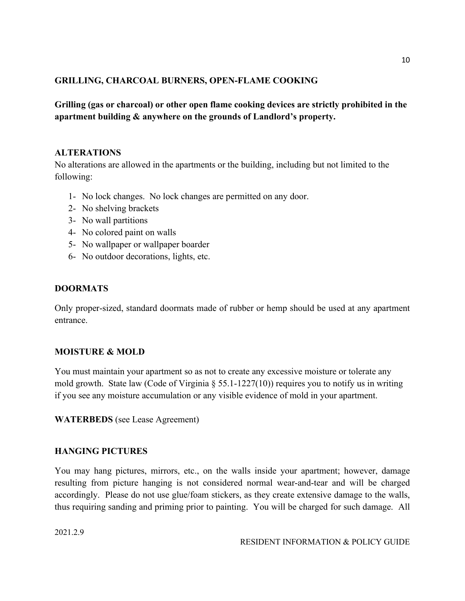#### **GRILLING, CHARCOAL BURNERS, OPEN-FLAME COOKING**

**Grilling (gas or charcoal) or other open flame cooking devices are strictly prohibited in the apartment building & anywhere on the grounds of Landlord's property.**

#### **ALTERATIONS**

No alterations are allowed in the apartments or the building, including but not limited to the following:

- 1- No lock changes. No lock changes are permitted on any door.
- 2- No shelving brackets
- 3- No wall partitions
- 4- No colored paint on walls
- 5- No wallpaper or wallpaper boarder
- 6- No outdoor decorations, lights, etc.

#### **DOORMATS**

Only proper-sized, standard doormats made of rubber or hemp should be used at any apartment entrance.

#### **MOISTURE & MOLD**

You must maintain your apartment so as not to create any excessive moisture or tolerate any mold growth. State law (Code of Virginia § 55.1-1227(10)) requires you to notify us in writing if you see any moisture accumulation or any visible evidence of mold in your apartment.

#### **WATERBEDS** (see Lease Agreement)

#### **HANGING PICTURES**

You may hang pictures, mirrors, etc., on the walls inside your apartment; however, damage resulting from picture hanging is not considered normal wear-and-tear and will be charged accordingly. Please do not use glue/foam stickers, as they create extensive damage to the walls, thus requiring sanding and priming prior to painting. You will be charged for such damage. All

2021.2.9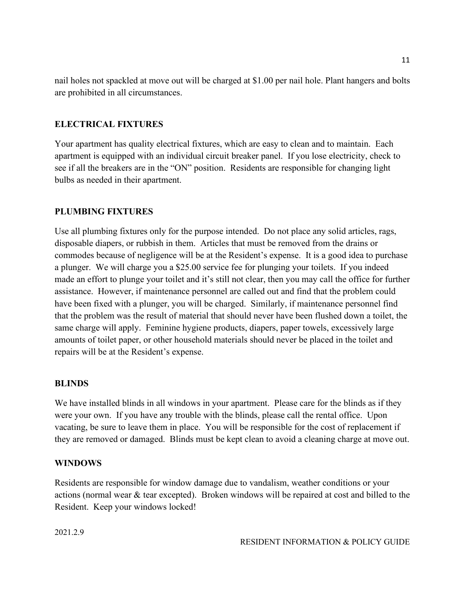nail holes not spackled at move out will be charged at \$1.00 per nail hole. Plant hangers and bolts are prohibited in all circumstances.

#### **ELECTRICAL FIXTURES**

Your apartment has quality electrical fixtures, which are easy to clean and to maintain. Each apartment is equipped with an individual circuit breaker panel. If you lose electricity, check to see if all the breakers are in the "ON" position. Residents are responsible for changing light bulbs as needed in their apartment.

#### **PLUMBING FIXTURES**

Use all plumbing fixtures only for the purpose intended. Do not place any solid articles, rags, disposable diapers, or rubbish in them. Articles that must be removed from the drains or commodes because of negligence will be at the Resident's expense. It is a good idea to purchase a plunger. We will charge you a \$25.00 service fee for plunging your toilets. If you indeed made an effort to plunge your toilet and it's still not clear, then you may call the office for further assistance. However, if maintenance personnel are called out and find that the problem could have been fixed with a plunger, you will be charged. Similarly, if maintenance personnel find that the problem was the result of material that should never have been flushed down a toilet, the same charge will apply. Feminine hygiene products, diapers, paper towels, excessively large amounts of toilet paper, or other household materials should never be placed in the toilet and repairs will be at the Resident's expense.

#### **BLINDS**

We have installed blinds in all windows in your apartment. Please care for the blinds as if they were your own. If you have any trouble with the blinds, please call the rental office. Upon vacating, be sure to leave them in place. You will be responsible for the cost of replacement if they are removed or damaged. Blinds must be kept clean to avoid a cleaning charge at move out.

#### **WINDOWS**

Residents are responsible for window damage due to vandalism, weather conditions or your actions (normal wear & tear excepted). Broken windows will be repaired at cost and billed to the Resident. Keep your windows locked!

2021.2.9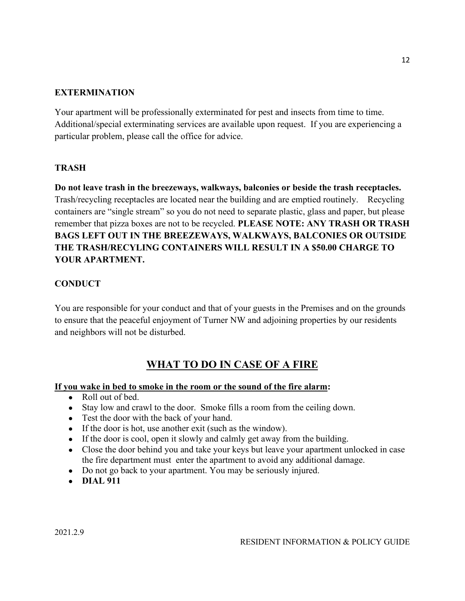#### **EXTERMINATION**

Your apartment will be professionally exterminated for pest and insects from time to time. Additional/special exterminating services are available upon request. If you are experiencing a particular problem, please call the office for advice.

#### **TRASH**

**Do not leave trash in the breezeways, walkways, balconies or beside the trash receptacles.**  Trash/recycling receptacles are located near the building and are emptied routinely. Recycling containers are "single stream" so you do not need to separate plastic, glass and paper, but please remember that pizza boxes are not to be recycled. **PLEASE NOTE: ANY TRASH OR TRASH BAGS LEFT OUT IN THE BREEZEWAYS, WALKWAYS, BALCONIES OR OUTSIDE THE TRASH/RECYLING CONTAINERS WILL RESULT IN A \$50.00 CHARGE TO YOUR APARTMENT.**

#### **CONDUCT**

You are responsible for your conduct and that of your guests in the Premises and on the grounds to ensure that the peaceful enjoyment of Turner NW and adjoining properties by our residents and neighbors will not be disturbed.

# **WHAT TO DO IN CASE OF A FIRE**

#### **If you wake in bed to smoke in the room or the sound of the fire alarm:**

- Roll out of bed.
- Stay low and crawl to the door. Smoke fills a room from the ceiling down.
- Test the door with the back of your hand.
- If the door is hot, use another exit (such as the window).
- If the door is cool, open it slowly and calmly get away from the building.
- Close the door behind you and take your keys but leave your apartment unlocked in case the fire department must enter the apartment to avoid any additional damage.
- Do not go back to your apartment. You may be seriously injured.
- **DIAL 911**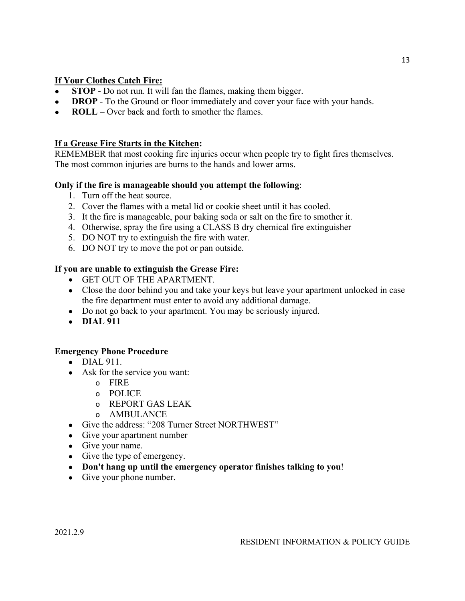#### **If Your Clothes Catch Fire:**

- **STOP** Do not run. It will fan the flames, making them bigger.
- **DROP** To the Ground or floor immediately and cover your face with your hands.
- **ROLL** Over back and forth to smother the flames.

#### **If a Grease Fire Starts in the Kitchen:**

REMEMBER that most cooking fire injuries occur when people try to fight fires themselves. The most common injuries are burns to the hands and lower arms.

#### **Only if the fire is manageable should you attempt the following**:

- 1. Turn off the heat source.
- 2. Cover the flames with a metal lid or cookie sheet until it has cooled.
- 3. It the fire is manageable, pour baking soda or salt on the fire to smother it.
- 4. Otherwise, spray the fire using a CLASS B dry chemical fire extinguisher
- 5. DO NOT try to extinguish the fire with water.
- 6. DO NOT try to move the pot or pan outside.

#### **If you are unable to extinguish the Grease Fire:**

- GET OUT OF THE APARTMENT.
- Close the door behind you and take your keys but leave your apartment unlocked in case the fire department must enter to avoid any additional damage.
- Do not go back to your apartment. You may be seriously injured.
- **DIAL 911**

#### **Emergency Phone Procedure**

- DIAL 911.
- Ask for the service you want:
	- o FIRE
	- o POLICE
	- o REPORT GAS LEAK
	- o AMBULANCE
- Give the address: "208 Turner Street NORTHWEST"
- Give your apartment number
- Give your name.
- Give the type of emergency.
- **Don't hang up until the emergency operator finishes talking to you**!
- Give your phone number.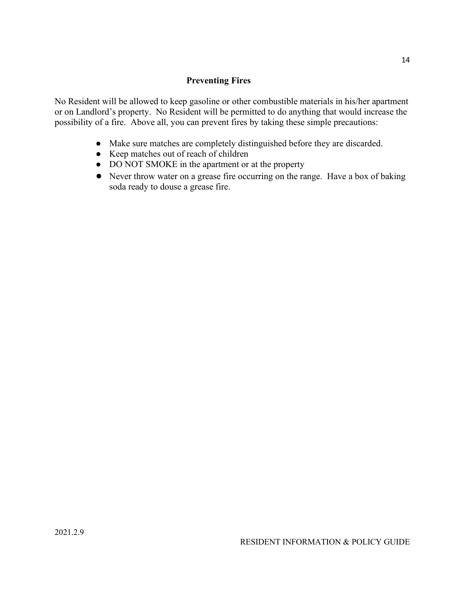#### **Preventing Fires**

No Resident will be allowed to keep gasoline or other combustible materials in his/her apartment or on Landlord's property. No Resident will be permitted to do anything that would increase the possibility of a fire. Above all, you can prevent fires by taking these simple precautions:

- Make sure matches are completely distinguished before they are discarded.
- Keep matches out of reach of children
- DO NOT SMOKE in the apartment or at the property
- Never throw water on a grease fire occurring on the range. Have a box of baking soda ready to douse a grease fire.